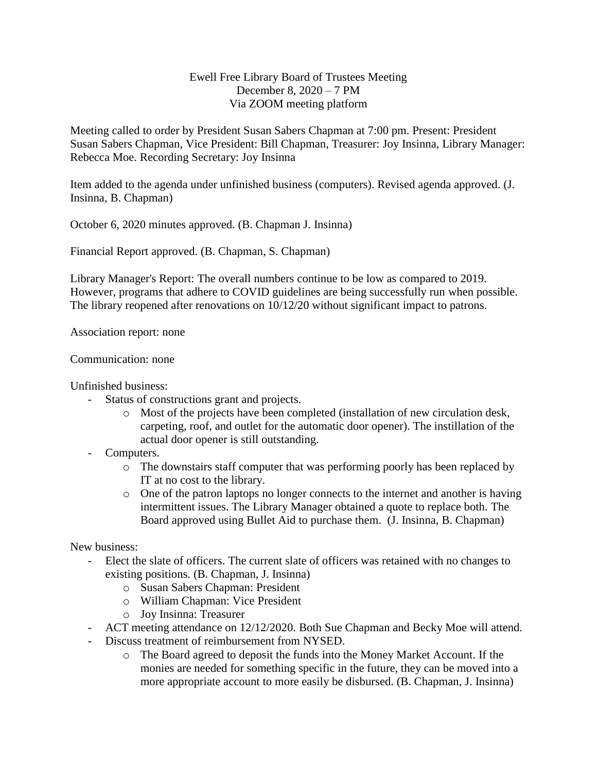## Ewell Free Library Board of Trustees Meeting December 8, 2020 – 7 PM Via ZOOM meeting platform

Meeting called to order by President Susan Sabers Chapman at 7:00 pm. Present: President Susan Sabers Chapman, Vice President: Bill Chapman, Treasurer: Joy Insinna, Library Manager: Rebecca Moe. Recording Secretary: Joy Insinna

Item added to the agenda under unfinished business (computers). Revised agenda approved. (J. Insinna, B. Chapman)

October 6, 2020 minutes approved. (B. Chapman J. Insinna)

Financial Report approved. (B. Chapman, S. Chapman)

Library Manager's Report: The overall numbers continue to be low as compared to 2019. However, programs that adhere to COVID guidelines are being successfully run when possible. The library reopened after renovations on 10/12/20 without significant impact to patrons.

Association report: none

## Communication: none

Unfinished business:

- Status of constructions grant and projects.
	- o Most of the projects have been completed (installation of new circulation desk, carpeting, roof, and outlet for the automatic door opener). The instillation of the actual door opener is still outstanding.
- Computers.
	- o The downstairs staff computer that was performing poorly has been replaced by IT at no cost to the library.
	- o One of the patron laptops no longer connects to the internet and another is having intermittent issues. The Library Manager obtained a quote to replace both. The Board approved using Bullet Aid to purchase them. (J. Insinna, B. Chapman)

New business:

- Elect the slate of officers. The current slate of officers was retained with no changes to existing positions. (B. Chapman, J. Insinna)
	- o Susan Sabers Chapman: President
	- o William Chapman: Vice President
	- o Joy Insinna: Treasurer
- ACT meeting attendance on 12/12/2020. Both Sue Chapman and Becky Moe will attend.
- Discuss treatment of reimbursement from NYSED.
	- o The Board agreed to deposit the funds into the Money Market Account. If the monies are needed for something specific in the future, they can be moved into a more appropriate account to more easily be disbursed. (B. Chapman, J. Insinna)